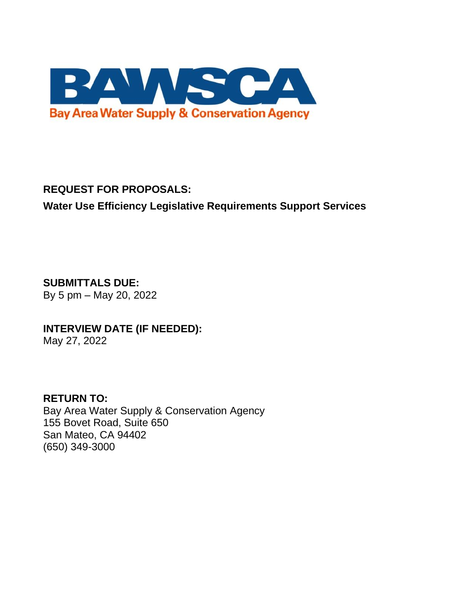

# **REQUEST FOR PROPOSALS:**

# **Water Use Efficiency Legislative Requirements Support Services**

**SUBMITTALS DUE:**  By 5 pm – May 20, 2022

# **INTERVIEW DATE (IF NEEDED):**  May 27, 2022

**RETURN TO:**

Bay Area Water Supply & Conservation Agency 155 Bovet Road, Suite 650 San Mateo, CA 94402 (650) 349-3000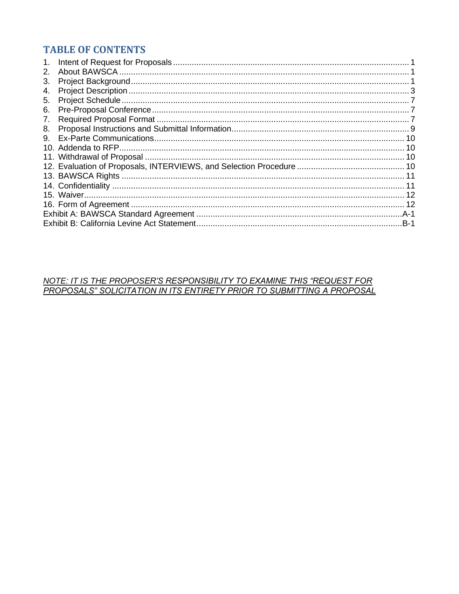# **TABLE OF CONTENTS**

| 1. |       |  |  |
|----|-------|--|--|
| 2. |       |  |  |
| 3. |       |  |  |
| 4. |       |  |  |
| 5. |       |  |  |
| 6. |       |  |  |
| 7. |       |  |  |
| 8. |       |  |  |
| 9. |       |  |  |
|    |       |  |  |
|    |       |  |  |
|    |       |  |  |
|    |       |  |  |
|    |       |  |  |
|    |       |  |  |
|    |       |  |  |
|    | $A-1$ |  |  |
|    | .B-1  |  |  |

<u>NOTE: IT IS THE PROPOSER'S RESPONSIBILITY TO EXAMINE THIS "REQUEST FOR PROPOSALS" SOLICITATION IN ITS ENTIRETY PRIOR TO SUBMITTING A PROPOSAL</u>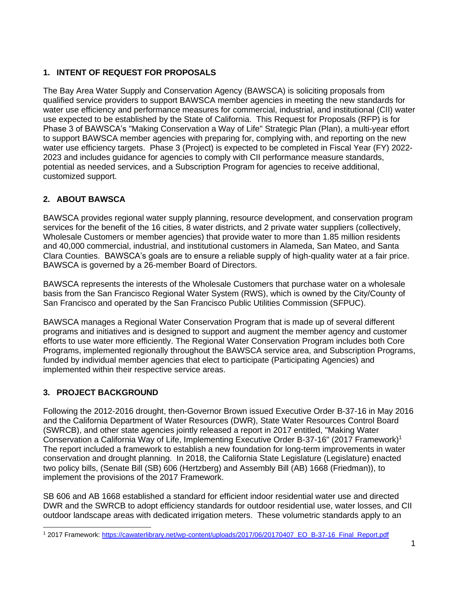# <span id="page-2-0"></span>**1. INTENT OF REQUEST FOR PROPOSALS**

The Bay Area Water Supply and Conservation Agency (BAWSCA) is soliciting proposals from qualified service providers to support BAWSCA member agencies in meeting the new standards for water use efficiency and performance measures for commercial, industrial, and institutional (CII) water use expected to be established by the State of California. This Request for Proposals (RFP) is for Phase 3 of BAWSCA's "Making Conservation a Way of Life" Strategic Plan (Plan), a multi-year effort to support BAWSCA member agencies with preparing for, complying with, and reporting on the new water use efficiency targets. Phase 3 (Project) is expected to be completed in Fiscal Year (FY) 2022-2023 and includes guidance for agencies to comply with CII performance measure standards, potential as needed services, and a Subscription Program for agencies to receive additional, customized support.

# <span id="page-2-1"></span>**2. ABOUT BAWSCA**

BAWSCA provides regional water supply planning, resource development, and conservation program services for the benefit of the 16 cities, 8 water districts, and 2 private water suppliers (collectively, Wholesale Customers or member agencies) that provide water to more than 1.85 million residents and 40,000 commercial, industrial, and institutional customers in Alameda, San Mateo, and Santa Clara Counties. BAWSCA's goals are to ensure a reliable supply of high-quality water at a fair price. BAWSCA is governed by a 26-member Board of Directors.

BAWSCA represents the interests of the Wholesale Customers that purchase water on a wholesale basis from the San Francisco Regional Water System (RWS), which is owned by the City/County of San Francisco and operated by the San Francisco Public Utilities Commission (SFPUC).

BAWSCA manages a Regional Water Conservation Program that is made up of several different programs and initiatives and is designed to support and augment the member agency and customer efforts to use water more efficiently. The Regional Water Conservation Program includes both Core Programs, implemented regionally throughout the BAWSCA service area, and Subscription Programs, funded by individual member agencies that elect to participate (Participating Agencies) and implemented within their respective service areas.

# <span id="page-2-2"></span>**3. PROJECT BACKGROUND**

Following the 2012-2016 drought, then-Governor Brown issued Executive Order B-37-16 in May 2016 and the California Department of Water Resources (DWR), State Water Resources Control Board (SWRCB), and other state agencies jointly released a report in 2017 entitled, "Making Water Conservation a California Way of Life, Implementing Executive Order B-37-16" (2017 Framework)<sup>1</sup> The report included a framework to establish a new foundation for long-term improvements in water conservation and drought planning. In 2018, the California State Legislature (Legislature) enacted two policy bills, (Senate Bill (SB) 606 (Hertzberg) and Assembly Bill (AB) 1668 (Friedman)), to implement the provisions of the 2017 Framework.

SB 606 and AB 1668 established a standard for efficient indoor residential water use and directed DWR and the SWRCB to adopt efficiency standards for outdoor residential use, water losses, and CII outdoor landscape areas with dedicated irrigation meters. These volumetric standards apply to an

<sup>&</sup>lt;sup>1</sup> 2017 Framework: [https://cawaterlibrary.net/wp-content/uploads/2017/06/20170407\\_EO\\_B-37-16\\_Final\\_Report.pdf](https://cawaterlibrary.net/wp-content/uploads/2017/06/20170407_EO_B-37-16_Final_Report.pdf)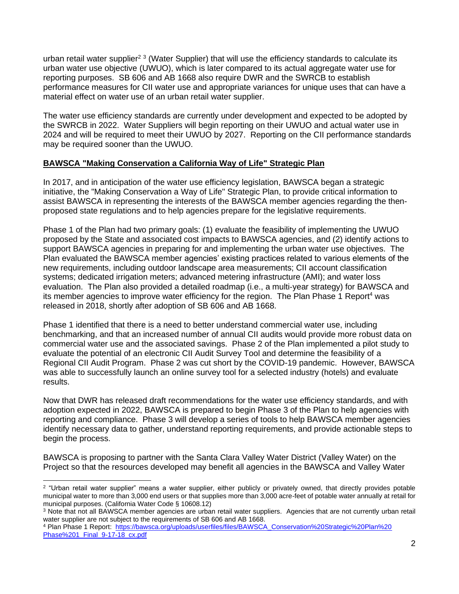urban retail water supplier<sup>2 3</sup> (Water Supplier) that will use the efficiency standards to calculate its urban water use objective (UWUO), which is later compared to its actual aggregate water use for reporting purposes. SB 606 and AB 1668 also require DWR and the SWRCB to establish performance measures for CII water use and appropriate variances for unique uses that can have a material effect on water use of an urban retail water supplier.

The water use efficiency standards are currently under development and expected to be adopted by the SWRCB in 2022. Water Suppliers will begin reporting on their UWUO and actual water use in 2024 and will be required to meet their UWUO by 2027. Reporting on the CII performance standards may be required sooner than the UWUO.

# **BAWSCA "Making Conservation a California Way of Life" Strategic Plan**

In 2017, and in anticipation of the water use efficiency legislation, BAWSCA began a strategic initiative, the "Making Conservation a Way of Life" Strategic Plan, to provide critical information to assist BAWSCA in representing the interests of the BAWSCA member agencies regarding the thenproposed state regulations and to help agencies prepare for the legislative requirements.

Phase 1 of the Plan had two primary goals: (1) evaluate the feasibility of implementing the UWUO proposed by the State and associated cost impacts to BAWSCA agencies, and (2) identify actions to support BAWSCA agencies in preparing for and implementing the urban water use objectives. The Plan evaluated the BAWSCA member agencies' existing practices related to various elements of the new requirements, including outdoor landscape area measurements; CII account classification systems; dedicated irrigation meters; advanced metering infrastructure (AMI); and water loss evaluation. The Plan also provided a detailed roadmap (i.e., a multi‐year strategy) for BAWSCA and its member agencies to improve water efficiency for the region. The Plan Phase 1 Report<sup>4</sup> was released in 2018, shortly after adoption of SB 606 and AB 1668.

Phase 1 identified that there is a need to better understand commercial water use, including benchmarking, and that an increased number of annual CII audits would provide more robust data on commercial water use and the associated savings. Phase 2 of the Plan implemented a pilot study to evaluate the potential of an electronic CII Audit Survey Tool and determine the feasibility of a Regional CII Audit Program. Phase 2 was cut short by the COVID-19 pandemic. However, BAWSCA was able to successfully launch an online survey tool for a selected industry (hotels) and evaluate results.

Now that DWR has released draft recommendations for the water use efficiency standards, and with adoption expected in 2022, BAWSCA is prepared to begin Phase 3 of the Plan to help agencies with reporting and compliance. Phase 3 will develop a series of tools to help BAWSCA member agencies identify necessary data to gather, understand reporting requirements, and provide actionable steps to begin the process.

BAWSCA is proposing to partner with the Santa Clara Valley Water District (Valley Water) on the Project so that the resources developed may benefit all agencies in the BAWSCA and Valley Water

<sup>&</sup>lt;sup>2</sup> "Urban retail water supplier" means a water supplier, either publicly or privately owned, that directly provides potable municipal water to more than 3,000 end users or that supplies more than 3,000 acre-feet of potable water annually at retail for municipal purposes. (California Water Code § 10608.12)

<sup>&</sup>lt;sup>3</sup> Note that not all BAWSCA member agencies are urban retail water suppliers. Agencies that are not currently urban retail water supplier are not subject to the requirements of SB 606 and AB 1668.

<sup>4</sup> Plan Phase 1 Report: [https://bawsca.org/uploads/userfiles/files/BAWSCA\\_Conservation%20Strategic%20Plan%20](https://bawsca.org/uploads/userfiles/files/BAWSCA_Conservation%20Strategic%20Plan%20Phase%201_Final_9-17-18_cx.pdf)  [Phase%201\\_Final\\_9-17-18\\_cx.pdf](https://bawsca.org/uploads/userfiles/files/BAWSCA_Conservation%20Strategic%20Plan%20Phase%201_Final_9-17-18_cx.pdf)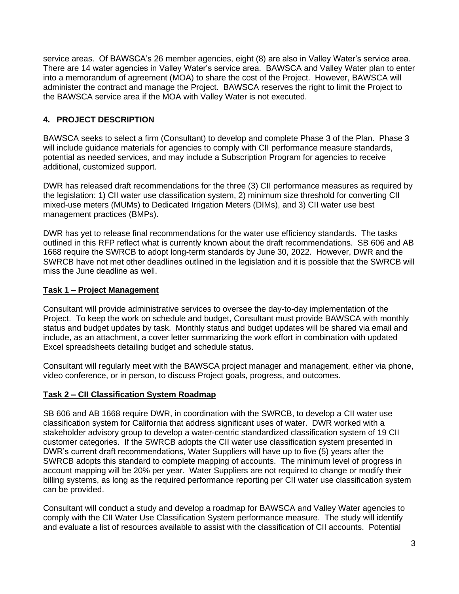service areas. Of BAWSCA's 26 member agencies, eight (8) are also in Valley Water's service area. There are 14 water agencies in Valley Water's service area. BAWSCA and Valley Water plan to enter into a memorandum of agreement (MOA) to share the cost of the Project. However, BAWSCA will administer the contract and manage the Project. BAWSCA reserves the right to limit the Project to the BAWSCA service area if the MOA with Valley Water is not executed.

# <span id="page-4-0"></span>**4. PROJECT DESCRIPTION**

BAWSCA seeks to select a firm (Consultant) to develop and complete Phase 3 of the Plan. Phase 3 will include guidance materials for agencies to comply with CII performance measure standards, potential as needed services, and may include a Subscription Program for agencies to receive additional, customized support.

DWR has released draft recommendations for the three (3) CII performance measures as required by the legislation: 1) CII water use classification system, 2) minimum size threshold for converting CII mixed-use meters (MUMs) to Dedicated Irrigation Meters (DIMs), and 3) CII water use best management practices (BMPs).

DWR has yet to release final recommendations for the water use efficiency standards. The tasks outlined in this RFP reflect what is currently known about the draft recommendations. SB 606 and AB 1668 require the SWRCB to adopt long-term standards by June 30, 2022. However, DWR and the SWRCB have not met other deadlines outlined in the legislation and it is possible that the SWRCB will miss the June deadline as well.

# **Task 1 – Project Management**

Consultant will provide administrative services to oversee the day-to-day implementation of the Project. To keep the work on schedule and budget, Consultant must provide BAWSCA with monthly status and budget updates by task. Monthly status and budget updates will be shared via email and include, as an attachment, a cover letter summarizing the work effort in combination with updated Excel spreadsheets detailing budget and schedule status.

Consultant will regularly meet with the BAWSCA project manager and management, either via phone, video conference, or in person, to discuss Project goals, progress, and outcomes.

# **Task 2 – CII Classification System Roadmap**

SB 606 and AB 1668 require DWR, in coordination with the SWRCB, to develop a CII water use classification system for California that address significant uses of water. DWR worked with a stakeholder advisory group to develop a water-centric standardized classification system of 19 CII customer categories. If the SWRCB adopts the CII water use classification system presented in DWR's current draft recommendations, Water Suppliers will have up to five (5) years after the SWRCB adopts this standard to complete mapping of accounts. The minimum level of progress in account mapping will be 20% per year. Water Suppliers are not required to change or modify their billing systems, as long as the required performance reporting per CII water use classification system can be provided.

Consultant will conduct a study and develop a roadmap for BAWSCA and Valley Water agencies to comply with the CII Water Use Classification System performance measure. The study will identify and evaluate a list of resources available to assist with the classification of CII accounts. Potential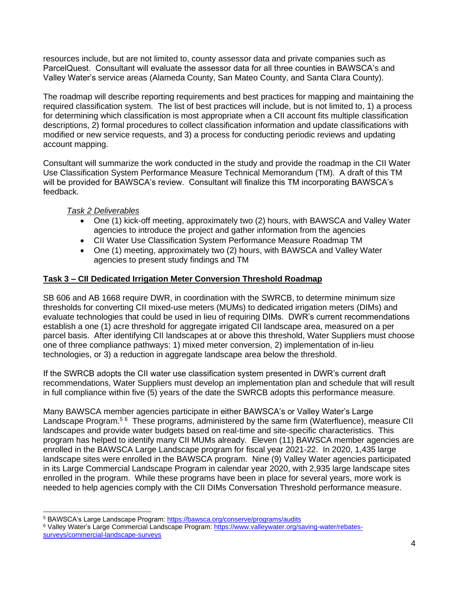resources include, but are not limited to, county assessor data and private companies such as ParcelQuest. Consultant will evaluate the assessor data for all three counties in BAWSCA's and Valley Water's service areas (Alameda County, San Mateo County, and Santa Clara County).

The roadmap will describe reporting requirements and best practices for mapping and maintaining the required classification system. The list of best practices will include, but is not limited to, 1) a process for determining which classification is most appropriate when a CII account fits multiple classification descriptions, 2) formal procedures to collect classification information and update classifications with modified or new service requests, and 3) a process for conducting periodic reviews and updating account mapping.

Consultant will summarize the work conducted in the study and provide the roadmap in the CII Water Use Classification System Performance Measure Technical Memorandum (TM). A draft of this TM will be provided for BAWSCA's review. Consultant will finalize this TM incorporating BAWSCA's feedback.

# *Task 2 Deliverables*

- One (1) kick-off meeting, approximately two (2) hours, with BAWSCA and Valley Water agencies to introduce the project and gather information from the agencies
- CII Water Use Classification System Performance Measure Roadmap TM
- One (1) meeting, approximately two (2) hours, with BAWSCA and Valley Water agencies to present study findings and TM

# **Task 3 – CII Dedicated Irrigation Meter Conversion Threshold Roadmap**

SB 606 and AB 1668 require DWR, in coordination with the SWRCB, to determine minimum size thresholds for converting CII mixed-use meters (MUMs) to dedicated irrigation meters (DIMs) and evaluate technologies that could be used in lieu of requiring DIMs. DWR's current recommendations establish a one (1) acre threshold for aggregate irrigated CII landscape area, measured on a per parcel basis. After identifying CII landscapes at or above this threshold, Water Suppliers must choose one of three compliance pathways: 1) mixed meter conversion, 2) implementation of in-lieu technologies, or 3) a reduction in aggregate landscape area below the threshold.

If the SWRCB adopts the CII water use classification system presented in DWR's current draft recommendations, Water Suppliers must develop an implementation plan and schedule that will result in full compliance within five (5) years of the date the SWRCB adopts this performance measure.

Many BAWSCA member agencies participate in either BAWSCA's or Valley Water's Large Landscape Program.<sup>56</sup> These programs, administered by the same firm (Waterfluence), measure CII landscapes and provide water budgets based on real-time and site-specific characteristics. This program has helped to identify many CII MUMs already. Eleven (11) BAWSCA member agencies are enrolled in the BAWSCA Large Landscape program for fiscal year 2021-22. In 2020, 1,435 large landscape sites were enrolled in the BAWSCA program. Nine (9) Valley Water agencies participated in its Large Commercial Landscape Program in calendar year 2020, with 2,935 large landscape sites enrolled in the program. While these programs have been in place for several years, more work is needed to help agencies comply with the CII DIMs Conversation Threshold performance measure.

<sup>5</sup> BAWSCA's Large Landscape Program:<https://bawsca.org/conserve/programs/audits>

<sup>6</sup> Valley Water's Large Commercial Landscape Program[: https://www.valleywater.org/saving-water/rebates](https://www.valleywater.org/saving-water/rebates-surveys/commercial-landscape-surveys)[surveys/commercial-landscape-surveys](https://www.valleywater.org/saving-water/rebates-surveys/commercial-landscape-surveys)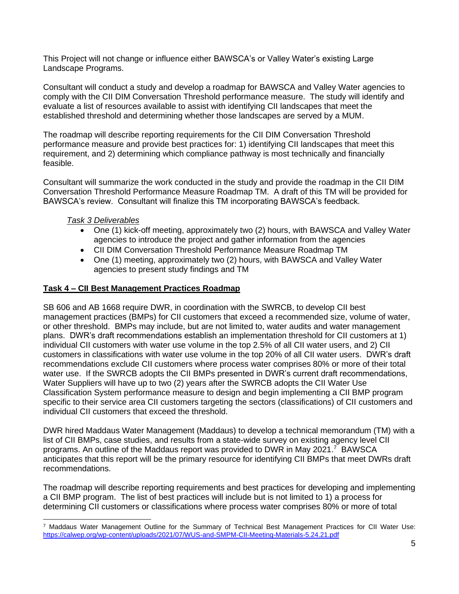This Project will not change or influence either BAWSCA's or Valley Water's existing Large Landscape Programs.

Consultant will conduct a study and develop a roadmap for BAWSCA and Valley Water agencies to comply with the CII DIM Conversation Threshold performance measure. The study will identify and evaluate a list of resources available to assist with identifying CII landscapes that meet the established threshold and determining whether those landscapes are served by a MUM.

The roadmap will describe reporting requirements for the CII DIM Conversation Threshold performance measure and provide best practices for: 1) identifying CII landscapes that meet this requirement, and 2) determining which compliance pathway is most technically and financially feasible.

Consultant will summarize the work conducted in the study and provide the roadmap in the CII DIM Conversation Threshold Performance Measure Roadmap TM. A draft of this TM will be provided for BAWSCA's review. Consultant will finalize this TM incorporating BAWSCA's feedback.

# *Task 3 Deliverables*

- One (1) kick-off meeting, approximately two (2) hours, with BAWSCA and Valley Water agencies to introduce the project and gather information from the agencies
- CII DIM Conversation Threshold Performance Measure Roadmap TM
- One (1) meeting, approximately two (2) hours, with BAWSCA and Valley Water agencies to present study findings and TM

# **Task 4 – CII Best Management Practices Roadmap**

SB 606 and AB 1668 require DWR, in coordination with the SWRCB, to develop CII best management practices (BMPs) for CII customers that exceed a recommended size, volume of water, or other threshold. BMPs may include, but are not limited to, water audits and water management plans. DWR's draft recommendations establish an implementation threshold for CII customers at 1) individual CII customers with water use volume in the top 2.5% of all CII water users, and 2) CII customers in classifications with water use volume in the top 20% of all CII water users. DWR's draft recommendations exclude CII customers where process water comprises 80% or more of their total water use. If the SWRCB adopts the CII BMPs presented in DWR's current draft recommendations, Water Suppliers will have up to two (2) years after the SWRCB adopts the CII Water Use Classification System performance measure to design and begin implementing a CII BMP program specific to their service area CII customers targeting the sectors (classifications) of CII customers and individual CII customers that exceed the threshold.

DWR hired Maddaus Water Management (Maddaus) to develop a technical memorandum (TM) with a list of CII BMPs, case studies, and results from a state-wide survey on existing agency level CII programs. An outline of the Maddaus report was provided to DWR in May 2021.<sup>7</sup> BAWSCA anticipates that this report will be the primary resource for identifying CII BMPs that meet DWRs draft recommendations.

The roadmap will describe reporting requirements and best practices for developing and implementing a CII BMP program. The list of best practices will include but is not limited to 1) a process for determining CII customers or classifications where process water comprises 80% or more of total

<sup>7</sup> Maddaus Water Management Outline for the Summary of Technical Best Management Practices for CII Water Use: <https://calwep.org/wp-content/uploads/2021/07/WUS-and-SMPM-CII-Meeting-Materials-5.24.21.pdf>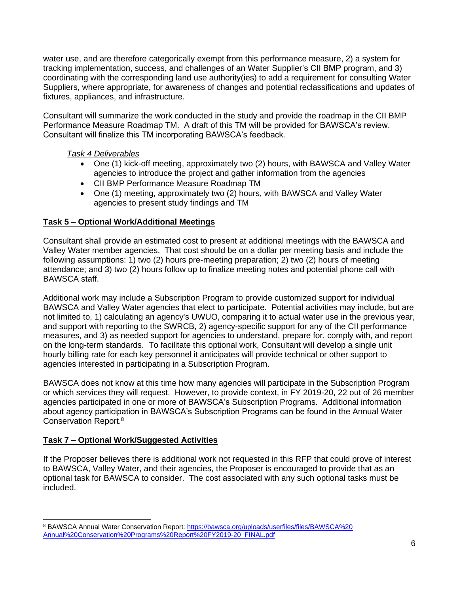water use, and are therefore categorically exempt from this performance measure, 2) a system for tracking implementation, success, and challenges of an Water Supplier's CII BMP program, and 3) coordinating with the corresponding land use authority(ies) to add a requirement for consulting Water Suppliers, where appropriate, for awareness of changes and potential reclassifications and updates of fixtures, appliances, and infrastructure.

Consultant will summarize the work conducted in the study and provide the roadmap in the CII BMP Performance Measure Roadmap TM. A draft of this TM will be provided for BAWSCA's review. Consultant will finalize this TM incorporating BAWSCA's feedback.

# *Task 4 Deliverables*

- One (1) kick-off meeting, approximately two (2) hours, with BAWSCA and Valley Water agencies to introduce the project and gather information from the agencies
- CII BMP Performance Measure Roadmap TM
- One (1) meeting, approximately two (2) hours, with BAWSCA and Valley Water agencies to present study findings and TM

# **Task 5 – Optional Work/Additional Meetings**

Consultant shall provide an estimated cost to present at additional meetings with the BAWSCA and Valley Water member agencies. That cost should be on a dollar per meeting basis and include the following assumptions: 1) two (2) hours pre-meeting preparation; 2) two (2) hours of meeting attendance; and 3) two (2) hours follow up to finalize meeting notes and potential phone call with BAWSCA staff.

Additional work may include a Subscription Program to provide customized support for individual BAWSCA and Valley Water agencies that elect to participate. Potential activities may include, but are not limited to, 1) calculating an agency's UWUO, comparing it to actual water use in the previous year, and support with reporting to the SWRCB, 2) agency-specific support for any of the CII performance measures, and 3) as needed support for agencies to understand, prepare for, comply with, and report on the long-term standards. To facilitate this optional work, Consultant will develop a single unit hourly billing rate for each key personnel it anticipates will provide technical or other support to agencies interested in participating in a Subscription Program.

BAWSCA does not know at this time how many agencies will participate in the Subscription Program or which services they will request. However, to provide context, in FY 2019-20, 22 out of 26 member agencies participated in one or more of BAWSCA's Subscription Programs. Additional information about agency participation in BAWSCA's Subscription Programs can be found in the Annual Water Conservation Report.<sup>8</sup>

# **Task 7 – Optional Work/Suggested Activities**

If the Proposer believes there is additional work not requested in this RFP that could prove of interest to BAWSCA, Valley Water, and their agencies, the Proposer is encouraged to provide that as an optional task for BAWSCA to consider. The cost associated with any such optional tasks must be included.

<sup>8</sup> BAWSCA Annual Water Conservation Report[: https://bawsca.org/uploads/userfiles/files/BAWSCA%20](https://bawsca.org/uploads/userfiles/files/BAWSCA%20Annual%20Conservation%20Programs%20Report%20FY2019-20_FINAL.pdf)  [Annual%20Conservation%20Programs%20Report%20FY2019-20\\_FINAL.pdf](https://bawsca.org/uploads/userfiles/files/BAWSCA%20Annual%20Conservation%20Programs%20Report%20FY2019-20_FINAL.pdf)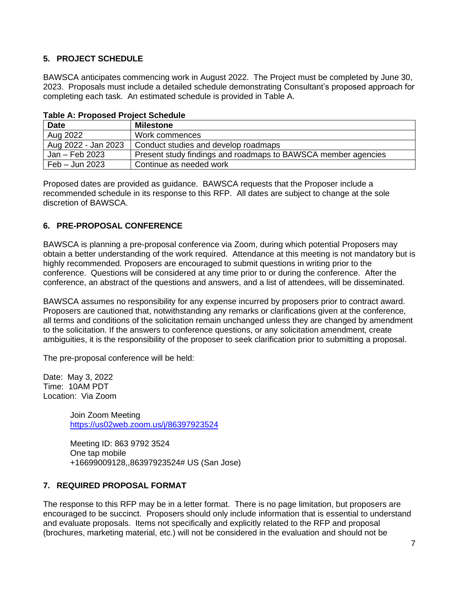# <span id="page-8-0"></span>**5. PROJECT SCHEDULE**

BAWSCA anticipates commencing work in August 2022. The Project must be completed by June 30, 2023. Proposals must include a detailed schedule demonstrating Consultant's proposed approach for completing each task. An estimated schedule is provided in Table A.

| <b>Date</b>         | <b>Milestone</b>                                              |
|---------------------|---------------------------------------------------------------|
| Aug 2022            | Work commences                                                |
| Aug 2022 - Jan 2023 | Conduct studies and develop roadmaps                          |
| Jan – Feb 2023      | Present study findings and roadmaps to BAWSCA member agencies |
| Feb – Jun 2023      | Continue as needed work                                       |

#### **Table A: Proposed Project Schedule**

Proposed dates are provided as guidance. BAWSCA requests that the Proposer include a recommended schedule in its response to this RFP. All dates are subject to change at the sole discretion of BAWSCA.

# <span id="page-8-1"></span>**6. PRE-PROPOSAL CONFERENCE**

BAWSCA is planning a pre-proposal conference via Zoom, during which potential Proposers may obtain a better understanding of the work required. Attendance at this meeting is not mandatory but is highly recommended. Proposers are encouraged to submit questions in writing prior to the conference. Questions will be considered at any time prior to or during the conference. After the conference, an abstract of the questions and answers, and a list of attendees, will be disseminated.

BAWSCA assumes no responsibility for any expense incurred by proposers prior to contract award. Proposers are cautioned that, notwithstanding any remarks or clarifications given at the conference, all terms and conditions of the solicitation remain unchanged unless they are changed by amendment to the solicitation. If the answers to conference questions, or any solicitation amendment, create ambiguities, it is the responsibility of the proposer to seek clarification prior to submitting a proposal.

The pre-proposal conference will be held:

Date: May 3, 2022 Time: 10AM PDT Location: Via Zoom

> Join Zoom Meeting <https://us02web.zoom.us/j/86397923524>

Meeting ID: 863 9792 3524 One tap mobile +16699009128,,86397923524# US (San Jose)

### <span id="page-8-2"></span>**7. REQUIRED PROPOSAL FORMAT**

The response to this RFP may be in a letter format. There is no page limitation, but proposers are encouraged to be succinct. Proposers should only include information that is essential to understand and evaluate proposals. Items not specifically and explicitly related to the RFP and proposal (brochures, marketing material, etc.) will not be considered in the evaluation and should not be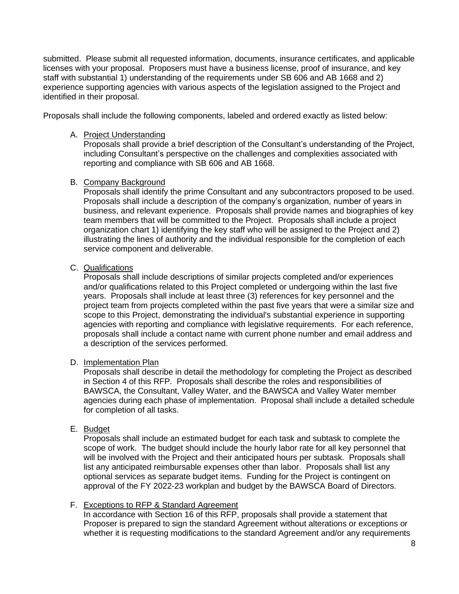submitted. Please submit all requested information, documents, insurance certificates, and applicable licenses with your proposal. Proposers must have a business license, proof of insurance, and key staff with substantial 1) understanding of the requirements under SB 606 and AB 1668 and 2) experience supporting agencies with various aspects of the legislation assigned to the Project and identified in their proposal.

Proposals shall include the following components, labeled and ordered exactly as listed below:

### A. Project Understanding

Proposals shall provide a brief description of the Consultant's understanding of the Project, including Consultant's perspective on the challenges and complexities associated with reporting and compliance with SB 606 and AB 1668.

### B. Company Background

Proposals shall identify the prime Consultant and any subcontractors proposed to be used. Proposals shall include a description of the company's organization, number of years in business, and relevant experience. Proposals shall provide names and biographies of key team members that will be committed to the Project. Proposals shall include a project organization chart 1) identifying the key staff who will be assigned to the Project and 2) illustrating the lines of authority and the individual responsible for the completion of each service component and deliverable.

### C. Qualifications

Proposals shall include descriptions of similar projects completed and/or experiences and/or qualifications related to this Project completed or undergoing within the last five years. Proposals shall include at least three (3) references for key personnel and the project team from projects completed within the past five years that were a similar size and scope to this Project, demonstrating the individual's substantial experience in supporting agencies with reporting and compliance with legislative requirements. For each reference, proposals shall include a contact name with current phone number and email address and a description of the services performed.

### D. Implementation Plan

Proposals shall describe in detail the methodology for completing the Project as described in Section 4 of this RFP. Proposals shall describe the roles and responsibilities of BAWSCA, the Consultant, Valley Water, and the BAWSCA and Valley Water member agencies during each phase of implementation. Proposal shall include a detailed schedule for completion of all tasks.

### E. Budget

Proposals shall include an estimated budget for each task and subtask to complete the scope of work. The budget should include the hourly labor rate for all key personnel that will be involved with the Project and their anticipated hours per subtask. Proposals shall list any anticipated reimbursable expenses other than labor. Proposals shall list any optional services as separate budget items. Funding for the Project is contingent on approval of the FY 2022-23 workplan and budget by the BAWSCA Board of Directors.

### F. Exceptions to RFP & Standard Agreement

In accordance with Section 16 of this RFP, proposals shall provide a statement that Proposer is prepared to sign the standard Agreement without alterations or exceptions or whether it is requesting modifications to the standard Agreement and/or any requirements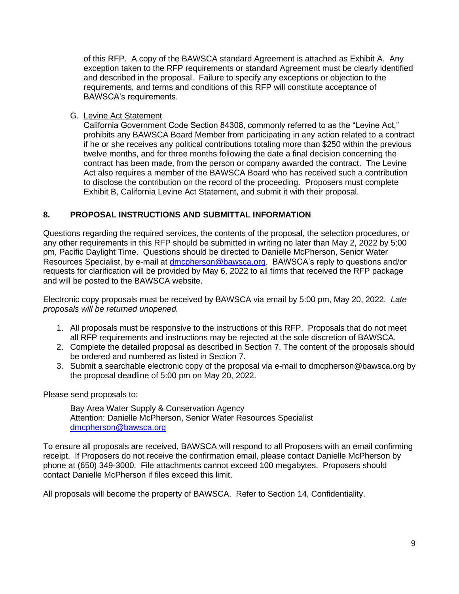of this RFP. A copy of the BAWSCA standard Agreement is attached as Exhibit A. Any exception taken to the RFP requirements or standard Agreement must be clearly identified and described in the proposal. Failure to specify any exceptions or objection to the requirements, and terms and conditions of this RFP will constitute acceptance of BAWSCA's requirements.

G. Levine Act Statement

California Government Code Section 84308, commonly referred to as the "Levine Act," prohibits any BAWSCA Board Member from participating in any action related to a contract if he or she receives any political contributions totaling more than \$250 within the previous twelve months, and for three months following the date a final decision concerning the contract has been made, from the person or company awarded the contract. The Levine Act also requires a member of the BAWSCA Board who has received such a contribution to disclose the contribution on the record of the proceeding. Proposers must complete Exhibit B, California Levine Act Statement, and submit it with their proposal.

# <span id="page-10-0"></span>**8. PROPOSAL INSTRUCTIONS AND SUBMITTAL INFORMATION**

Questions regarding the required services, the contents of the proposal, the selection procedures, or any other requirements in this RFP should be submitted in writing no later than May 2, 2022 by 5:00 pm, Pacific Daylight Time. Questions should be directed to Danielle McPherson, Senior Water Resources Specialist, by e-mail at [dmcpherson@bawsca.org.](mailto:dmcpherson@bawsca.org) BAWSCA's reply to questions and/or requests for clarification will be provided by May 6, 2022 to all firms that received the RFP package and will be posted to the BAWSCA website.

Electronic copy proposals must be received by BAWSCA via email by 5:00 pm, May 20, 2022. *Late proposals will be returned unopened.*

- 1. All proposals must be responsive to the instructions of this RFP. Proposals that do not meet all RFP requirements and instructions may be rejected at the sole discretion of BAWSCA.
- 2. Complete the detailed proposal as described in Section 7. The content of the proposals should be ordered and numbered as listed in Section 7.
- 3. Submit a searchable electronic copy of the proposal via e-mail to dmcpherson@bawsca.org by the proposal deadline of 5:00 pm on May 20, 2022.

Please send proposals to:

Bay Area Water Supply & Conservation Agency Attention: Danielle McPherson, Senior Water Resources Specialist [dmcpherson@bawsca.org](mailto:dmcpherson@bawsca.org)

To ensure all proposals are received, BAWSCA will respond to all Proposers with an email confirming receipt. If Proposers do not receive the confirmation email, please contact Danielle McPherson by phone at (650) 349-3000. File attachments cannot exceed 100 megabytes. Proposers should contact Danielle McPherson if files exceed this limit.

All proposals will become the property of BAWSCA. Refer to Section 14, Confidentiality.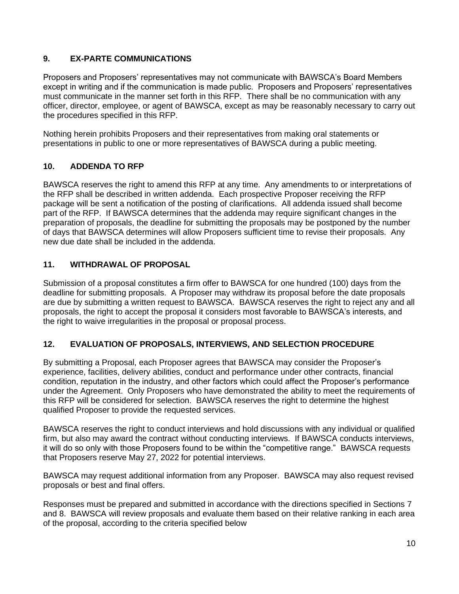# <span id="page-11-0"></span>**9. EX-PARTE COMMUNICATIONS**

Proposers and Proposers' representatives may not communicate with BAWSCA's Board Members except in writing and if the communication is made public. Proposers and Proposers' representatives must communicate in the manner set forth in this RFP. There shall be no communication with any officer, director, employee, or agent of BAWSCA, except as may be reasonably necessary to carry out the procedures specified in this RFP.

Nothing herein prohibits Proposers and their representatives from making oral statements or presentations in public to one or more representatives of BAWSCA during a public meeting.

# <span id="page-11-1"></span>**10. ADDENDA TO RFP**

BAWSCA reserves the right to amend this RFP at any time. Any amendments to or interpretations of the RFP shall be described in written addenda. Each prospective Proposer receiving the RFP package will be sent a notification of the posting of clarifications. All addenda issued shall become part of the RFP. If BAWSCA determines that the addenda may require significant changes in the preparation of proposals, the deadline for submitting the proposals may be postponed by the number of days that BAWSCA determines will allow Proposers sufficient time to revise their proposals. Any new due date shall be included in the addenda.

# <span id="page-11-2"></span>**11. WITHDRAWAL OF PROPOSAL**

Submission of a proposal constitutes a firm offer to BAWSCA for one hundred (100) days from the deadline for submitting proposals. A Proposer may withdraw its proposal before the date proposals are due by submitting a written request to BAWSCA. BAWSCA reserves the right to reject any and all proposals, the right to accept the proposal it considers most favorable to BAWSCA's interests, and the right to waive irregularities in the proposal or proposal process.

# <span id="page-11-3"></span>**12. EVALUATION OF PROPOSALS, INTERVIEWS, AND SELECTION PROCEDURE**

By submitting a Proposal, each Proposer agrees that BAWSCA may consider the Proposer's experience, facilities, delivery abilities, conduct and performance under other contracts, financial condition, reputation in the industry, and other factors which could affect the Proposer's performance under the Agreement. Only Proposers who have demonstrated the ability to meet the requirements of this RFP will be considered for selection. BAWSCA reserves the right to determine the highest qualified Proposer to provide the requested services.

BAWSCA reserves the right to conduct interviews and hold discussions with any individual or qualified firm, but also may award the contract without conducting interviews. If BAWSCA conducts interviews, it will do so only with those Proposers found to be within the "competitive range." BAWSCA requests that Proposers reserve May 27, 2022 for potential interviews.

BAWSCA may request additional information from any Proposer. BAWSCA may also request revised proposals or best and final offers.

Responses must be prepared and submitted in accordance with the directions specified in Sections 7 and 8. BAWSCA will review proposals and evaluate them based on their relative ranking in each area of the proposal, according to the criteria specified below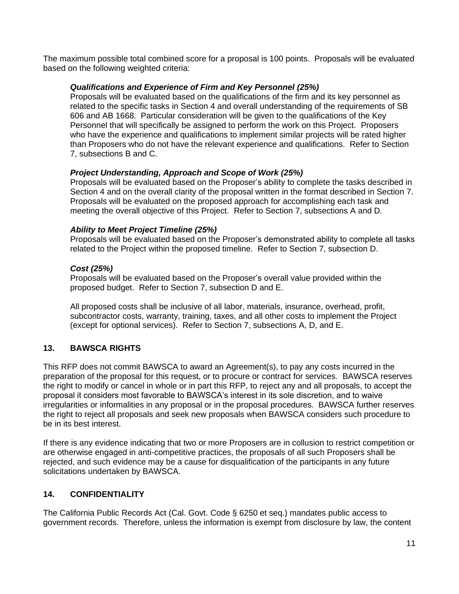The maximum possible total combined score for a proposal is 100 points. Proposals will be evaluated based on the following weighted criteria:

# *Qualifications and Experience of Firm and Key Personnel (25%)*

Proposals will be evaluated based on the qualifications of the firm and its key personnel as related to the specific tasks in Section 4 and overall understanding of the requirements of SB 606 and AB 1668. Particular consideration will be given to the qualifications of the Key Personnel that will specifically be assigned to perform the work on this Project. Proposers who have the experience and qualifications to implement similar projects will be rated higher than Proposers who do not have the relevant experience and qualifications. Refer to Section 7, subsections B and C.

# *Project Understanding, Approach and Scope of Work (25%)*

Proposals will be evaluated based on the Proposer's ability to complete the tasks described in Section 4 and on the overall clarity of the proposal written in the format described in Section 7. Proposals will be evaluated on the proposed approach for accomplishing each task and meeting the overall objective of this Project. Refer to Section 7, subsections A and D.

# *Ability to Meet Project Timeline (25%)*

Proposals will be evaluated based on the Proposer's demonstrated ability to complete all tasks related to the Project within the proposed timeline. Refer to Section 7, subsection D.

# *Cost (25%)*

Proposals will be evaluated based on the Proposer's overall value provided within the proposed budget. Refer to Section 7, subsection D and E.

<span id="page-12-0"></span>All proposed costs shall be inclusive of all labor, materials, insurance, overhead, profit, subcontractor costs, warranty, training, taxes, and all other costs to implement the Project (except for optional services). Refer to Section 7, subsections A, D, and E.

# **13. BAWSCA RIGHTS**

This RFP does not commit BAWSCA to award an Agreement(s), to pay any costs incurred in the preparation of the proposal for this request, or to procure or contract for services. BAWSCA reserves the right to modify or cancel in whole or in part this RFP, to reject any and all proposals, to accept the proposal it considers most favorable to BAWSCA's interest in its sole discretion, and to waive irregularities or informalities in any proposal or in the proposal procedures. BAWSCA further reserves the right to reject all proposals and seek new proposals when BAWSCA considers such procedure to be in its best interest.

If there is any evidence indicating that two or more Proposers are in collusion to restrict competition or are otherwise engaged in anti-competitive practices, the proposals of all such Proposers shall be rejected, and such evidence may be a cause for disqualification of the participants in any future solicitations undertaken by BAWSCA.

# <span id="page-12-1"></span>**14. CONFIDENTIALITY**

The California Public Records Act (Cal. Govt. Code § 6250 et seq.) mandates public access to government records. Therefore, unless the information is exempt from disclosure by law, the content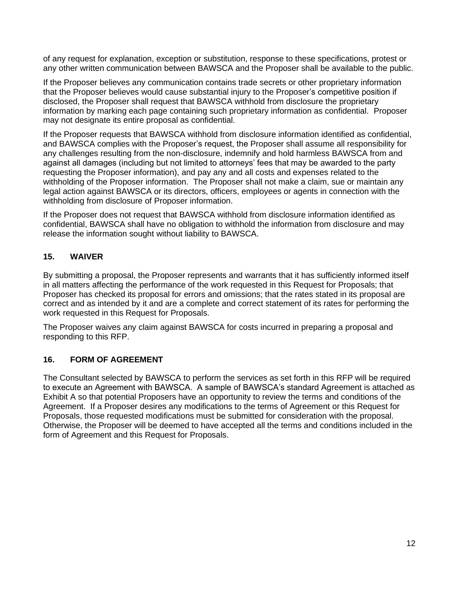of any request for explanation, exception or substitution, response to these specifications, protest or any other written communication between BAWSCA and the Proposer shall be available to the public.

If the Proposer believes any communication contains trade secrets or other proprietary information that the Proposer believes would cause substantial injury to the Proposer's competitive position if disclosed, the Proposer shall request that BAWSCA withhold from disclosure the proprietary information by marking each page containing such proprietary information as confidential. Proposer may not designate its entire proposal as confidential.

If the Proposer requests that BAWSCA withhold from disclosure information identified as confidential, and BAWSCA complies with the Proposer's request, the Proposer shall assume all responsibility for any challenges resulting from the non-disclosure, indemnify and hold harmless BAWSCA from and against all damages (including but not limited to attorneys' fees that may be awarded to the party requesting the Proposer information), and pay any and all costs and expenses related to the withholding of the Proposer information. The Proposer shall not make a claim, sue or maintain any legal action against BAWSCA or its directors, officers, employees or agents in connection with the withholding from disclosure of Proposer information.

If the Proposer does not request that BAWSCA withhold from disclosure information identified as confidential, BAWSCA shall have no obligation to withhold the information from disclosure and may release the information sought without liability to BAWSCA.

# <span id="page-13-0"></span>**15. WAIVER**

By submitting a proposal, the Proposer represents and warrants that it has sufficiently informed itself in all matters affecting the performance of the work requested in this Request for Proposals; that Proposer has checked its proposal for errors and omissions; that the rates stated in its proposal are correct and as intended by it and are a complete and correct statement of its rates for performing the work requested in this Request for Proposals.

The Proposer waives any claim against BAWSCA for costs incurred in preparing a proposal and responding to this RFP.

# <span id="page-13-1"></span>**16. FORM OF AGREEMENT**

The Consultant selected by BAWSCA to perform the services as set forth in this RFP will be required to execute an Agreement with BAWSCA. A sample of BAWSCA's standard Agreement is attached as Exhibit A so that potential Proposers have an opportunity to review the terms and conditions of the Agreement. If a Proposer desires any modifications to the terms of Agreement or this Request for Proposals, those requested modifications must be submitted for consideration with the proposal. Otherwise, the Proposer will be deemed to have accepted all the terms and conditions included in the form of Agreement and this Request for Proposals.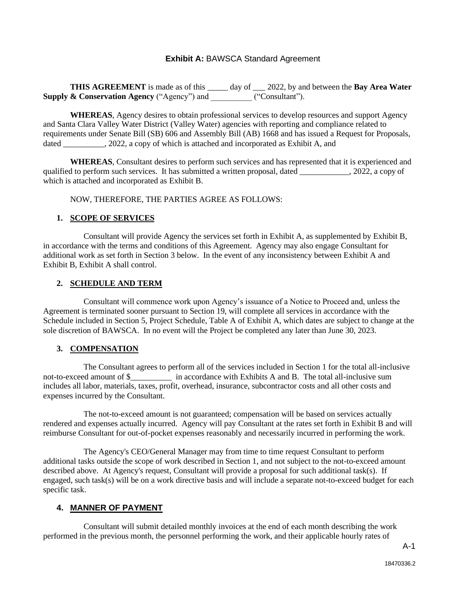### **Exhibit A:** BAWSCA Standard Agreement

<span id="page-14-0"></span>**THIS AGREEMENT** is made as of this \_\_\_\_\_ day of \_\_\_ 2022, by and between the **Bay Area Water Supply & Conservation Agency** ("Agency") and ("Consultant").

**WHEREAS**, Agency desires to obtain professional services to develop resources and support Agency and Santa Clara Valley Water District (Valley Water) agencies with reporting and compliance related to requirements under Senate Bill (SB) 606 and Assembly Bill (AB) 1668 and has issued a Request for Proposals, dated all 2022, a copy of which is attached and incorporated as Exhibit A, and

**WHEREAS**, Consultant desires to perform such services and has represented that it is experienced and qualified to perform such services. It has submitted a written proposal, dated \_\_\_\_\_\_\_\_\_\_, 2022, a copy of which is attached and incorporated as Exhibit B.

NOW, THEREFORE, THE PARTIES AGREE AS FOLLOWS:

#### **1. SCOPE OF SERVICES**

Consultant will provide Agency the services set forth in Exhibit A, as supplemented by Exhibit B, in accordance with the terms and conditions of this Agreement. Agency may also engage Consultant for additional work as set forth in Section 3 below. In the event of any inconsistency between Exhibit A and Exhibit B, Exhibit A shall control.

#### **2. SCHEDULE AND TERM**

Consultant will commence work upon Agency's issuance of a Notice to Proceed and, unless the Agreement is terminated sooner pursuant to Section 19, will complete all services in accordance with the Schedule included in Section 5, Project Schedule, Table A of Exhibit A, which dates are subject to change at the sole discretion of BAWSCA. In no event will the Project be completed any later than June 30, 2023.

### **3. COMPENSATION**

The Consultant agrees to perform all of the services included in Section 1 for the total all-inclusive not-to-exceed amount of \$\_\_\_\_\_\_\_\_\_\_ in accordance with Exhibits A and B. The total all-inclusive sum includes all labor, materials, taxes, profit, overhead, insurance, subcontractor costs and all other costs and expenses incurred by the Consultant.

The not-to-exceed amount is not guaranteed; compensation will be based on services actually rendered and expenses actually incurred. Agency will pay Consultant at the rates set forth in Exhibit B and will reimburse Consultant for out-of-pocket expenses reasonably and necessarily incurred in performing the work.

The Agency's CEO/General Manager may from time to time request Consultant to perform additional tasks outside the scope of work described in Section 1, and not subject to the not-to-exceed amount described above. At Agency's request, Consultant will provide a proposal for such additional task(s). If engaged, such task(s) will be on a work directive basis and will include a separate not-to-exceed budget for each specific task.

### **4. MANNER OF PAYMENT**

Consultant will submit detailed monthly invoices at the end of each month describing the work performed in the previous month, the personnel performing the work, and their applicable hourly rates of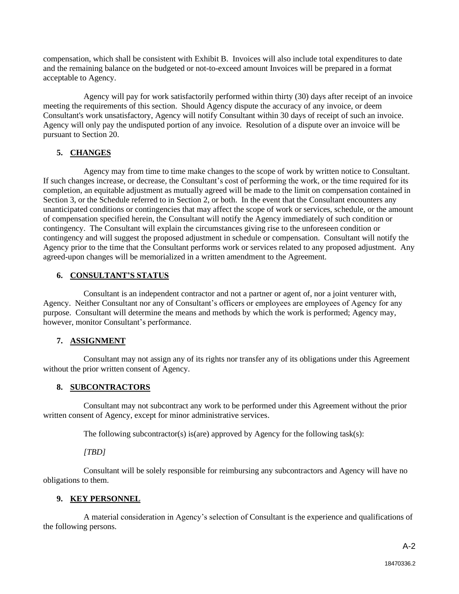compensation, which shall be consistent with Exhibit B. Invoices will also include total expenditures to date and the remaining balance on the budgeted or not-to-exceed amount Invoices will be prepared in a format acceptable to Agency.

Agency will pay for work satisfactorily performed within thirty (30) days after receipt of an invoice meeting the requirements of this section. Should Agency dispute the accuracy of any invoice, or deem Consultant's work unsatisfactory, Agency will notify Consultant within 30 days of receipt of such an invoice. Agency will only pay the undisputed portion of any invoice. Resolution of a dispute over an invoice will be pursuant to Section 20.

# **5. CHANGES**

Agency may from time to time make changes to the scope of work by written notice to Consultant. If such changes increase, or decrease, the Consultant's cost of performing the work, or the time required for its completion, an equitable adjustment as mutually agreed will be made to the limit on compensation contained in Section 3, or the Schedule referred to in Section 2, or both. In the event that the Consultant encounters any unanticipated conditions or contingencies that may affect the scope of work or services, schedule, or the amount of compensation specified herein, the Consultant will notify the Agency immediately of such condition or contingency. The Consultant will explain the circumstances giving rise to the unforeseen condition or contingency and will suggest the proposed adjustment in schedule or compensation. Consultant will notify the Agency prior to the time that the Consultant performs work or services related to any proposed adjustment. Any agreed-upon changes will be memorialized in a written amendment to the Agreement.

### **6. CONSULTANT'S STATUS**

Consultant is an independent contractor and not a partner or agent of, nor a joint venturer with, Agency. Neither Consultant nor any of Consultant's officers or employees are employees of Agency for any purpose. Consultant will determine the means and methods by which the work is performed; Agency may, however, monitor Consultant's performance.

# **7. ASSIGNMENT**

Consultant may not assign any of its rights nor transfer any of its obligations under this Agreement without the prior written consent of Agency.

### **8. SUBCONTRACTORS**

Consultant may not subcontract any work to be performed under this Agreement without the prior written consent of Agency, except for minor administrative services.

The following subcontractor(s) is(are) approved by Agency for the following task(s):

### *[TBD]*

Consultant will be solely responsible for reimbursing any subcontractors and Agency will have no obligations to them.

### **9. KEY PERSONNEL**

A material consideration in Agency's selection of Consultant is the experience and qualifications of the following persons.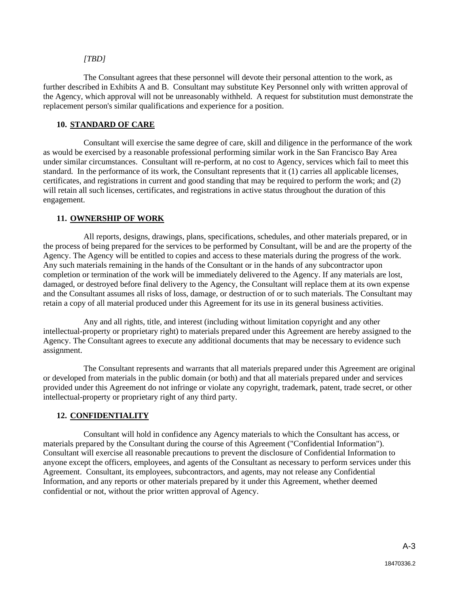#### *[TBD]*

The Consultant agrees that these personnel will devote their personal attention to the work, as further described in Exhibits A and B. Consultant may substitute Key Personnel only with written approval of the Agency, which approval will not be unreasonably withheld. A request for substitution must demonstrate the replacement person's similar qualifications and experience for a position.

#### **10. STANDARD OF CARE**

Consultant will exercise the same degree of care, skill and diligence in the performance of the work as would be exercised by a reasonable professional performing similar work in the San Francisco Bay Area under similar circumstances. Consultant will re-perform, at no cost to Agency, services which fail to meet this standard. In the performance of its work, the Consultant represents that it (1) carries all applicable licenses, certificates, and registrations in current and good standing that may be required to perform the work; and (2) will retain all such licenses, certificates, and registrations in active status throughout the duration of this engagement.

#### **11. OWNERSHIP OF WORK**

All reports, designs, drawings, plans, specifications, schedules, and other materials prepared, or in the process of being prepared for the services to be performed by Consultant, will be and are the property of the Agency. The Agency will be entitled to copies and access to these materials during the progress of the work. Any such materials remaining in the hands of the Consultant or in the hands of any subcontractor upon completion or termination of the work will be immediately delivered to the Agency. If any materials are lost, damaged, or destroyed before final delivery to the Agency, the Consultant will replace them at its own expense and the Consultant assumes all risks of loss, damage, or destruction of or to such materials. The Consultant may retain a copy of all material produced under this Agreement for its use in its general business activities.

Any and all rights, title, and interest (including without limitation copyright and any other intellectual-property or proprietary right) to materials prepared under this Agreement are hereby assigned to the Agency. The Consultant agrees to execute any additional documents that may be necessary to evidence such assignment.

The Consultant represents and warrants that all materials prepared under this Agreement are original or developed from materials in the public domain (or both) and that all materials prepared under and services provided under this Agreement do not infringe or violate any copyright, trademark, patent, trade secret, or other intellectual-property or proprietary right of any third party.

#### **12. CONFIDENTIALITY**

Consultant will hold in confidence any Agency materials to which the Consultant has access, or materials prepared by the Consultant during the course of this Agreement ("Confidential Information"). Consultant will exercise all reasonable precautions to prevent the disclosure of Confidential Information to anyone except the officers, employees, and agents of the Consultant as necessary to perform services under this Agreement. Consultant, its employees, subcontractors, and agents, may not release any Confidential Information, and any reports or other materials prepared by it under this Agreement, whether deemed confidential or not, without the prior written approval of Agency.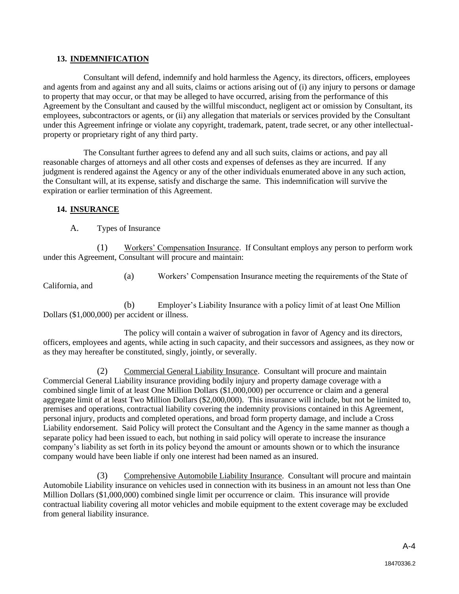#### **13. INDEMNIFICATION**

Consultant will defend, indemnify and hold harmless the Agency, its directors, officers, employees and agents from and against any and all suits, claims or actions arising out of (i) any injury to persons or damage to property that may occur, or that may be alleged to have occurred, arising from the performance of this Agreement by the Consultant and caused by the willful misconduct, negligent act or omission by Consultant, its employees, subcontractors or agents, or (ii) any allegation that materials or services provided by the Consultant under this Agreement infringe or violate any copyright, trademark, patent, trade secret, or any other intellectualproperty or proprietary right of any third party.

The Consultant further agrees to defend any and all such suits, claims or actions, and pay all reasonable charges of attorneys and all other costs and expenses of defenses as they are incurred. If any judgment is rendered against the Agency or any of the other individuals enumerated above in any such action, the Consultant will, at its expense, satisfy and discharge the same. This indemnification will survive the expiration or earlier termination of this Agreement.

#### **14. INSURANCE**

A. Types of Insurance

(1) Workers' Compensation Insurance. If Consultant employs any person to perform work under this Agreement, Consultant will procure and maintain:

California, and

(a) Workers' Compensation Insurance meeting the requirements of the State of

(b) Employer's Liability Insurance with a policy limit of at least One Million Dollars (\$1,000,000) per accident or illness.

The policy will contain a waiver of subrogation in favor of Agency and its directors, officers, employees and agents, while acting in such capacity, and their successors and assignees, as they now or as they may hereafter be constituted, singly, jointly, or severally.

(2) Commercial General Liability Insurance. Consultant will procure and maintain Commercial General Liability insurance providing bodily injury and property damage coverage with a combined single limit of at least One Million Dollars (\$1,000,000) per occurrence or claim and a general aggregate limit of at least Two Million Dollars (\$2,000,000). This insurance will include, but not be limited to, premises and operations, contractual liability covering the indemnity provisions contained in this Agreement, personal injury, products and completed operations, and broad form property damage, and include a Cross Liability endorsement. Said Policy will protect the Consultant and the Agency in the same manner as though a separate policy had been issued to each, but nothing in said policy will operate to increase the insurance company's liability as set forth in its policy beyond the amount or amounts shown or to which the insurance company would have been liable if only one interest had been named as an insured.

(3) Comprehensive Automobile Liability Insurance. Consultant will procure and maintain Automobile Liability insurance on vehicles used in connection with its business in an amount not less than One Million Dollars (\$1,000,000) combined single limit per occurrence or claim. This insurance will provide contractual liability covering all motor vehicles and mobile equipment to the extent coverage may be excluded from general liability insurance.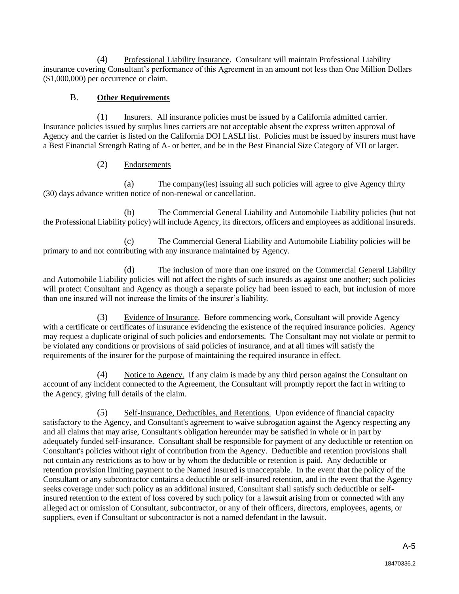(4) Professional Liability Insurance. Consultant will maintain Professional Liability insurance covering Consultant's performance of this Agreement in an amount not less than One Million Dollars (\$1,000,000) per occurrence or claim.

### B. **Other Requirements**

(1) Insurers. All insurance policies must be issued by a California admitted carrier. Insurance policies issued by surplus lines carriers are not acceptable absent the express written approval of Agency and the carrier is listed on the California DOI LASLI list. Policies must be issued by insurers must have a Best Financial Strength Rating of A- or better, and be in the Best Financial Size Category of VII or larger.

#### (2) Endorsements

(a) The company(ies) issuing all such policies will agree to give Agency thirty (30) days advance written notice of non-renewal or cancellation.

(b) The Commercial General Liability and Automobile Liability policies (but not the Professional Liability policy) will include Agency, its directors, officers and employees as additional insureds.

(c) The Commercial General Liability and Automobile Liability policies will be primary to and not contributing with any insurance maintained by Agency.

(d) The inclusion of more than one insured on the Commercial General Liability and Automobile Liability policies will not affect the rights of such insureds as against one another; such policies will protect Consultant and Agency as though a separate policy had been issued to each, but inclusion of more than one insured will not increase the limits of the insurer's liability.

(3) Evidence of Insurance. Before commencing work, Consultant will provide Agency with a certificate or certificates of insurance evidencing the existence of the required insurance policies. Agency may request a duplicate original of such policies and endorsements. The Consultant may not violate or permit to be violated any conditions or provisions of said policies of insurance, and at all times will satisfy the requirements of the insurer for the purpose of maintaining the required insurance in effect.

(4) Notice to Agency. If any claim is made by any third person against the Consultant on account of any incident connected to the Agreement, the Consultant will promptly report the fact in writing to the Agency, giving full details of the claim.

(5) Self-Insurance, Deductibles, and Retentions. Upon evidence of financial capacity satisfactory to the Agency, and Consultant's agreement to waive subrogation against the Agency respecting any and all claims that may arise, Consultant's obligation hereunder may be satisfied in whole or in part by adequately funded self-insurance. Consultant shall be responsible for payment of any deductible or retention on Consultant's policies without right of contribution from the Agency. Deductible and retention provisions shall not contain any restrictions as to how or by whom the deductible or retention is paid. Any deductible or retention provision limiting payment to the Named Insured is unacceptable. In the event that the policy of the Consultant or any subcontractor contains a deductible or self-insured retention, and in the event that the Agency seeks coverage under such policy as an additional insured, Consultant shall satisfy such deductible or selfinsured retention to the extent of loss covered by such policy for a lawsuit arising from or connected with any alleged act or omission of Consultant, subcontractor, or any of their officers, directors, employees, agents, or suppliers, even if Consultant or subcontractor is not a named defendant in the lawsuit.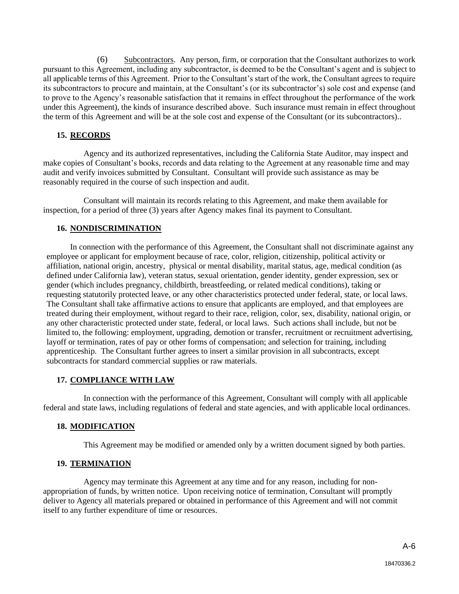(6) Subcontractors. Any person, firm, or corporation that the Consultant authorizes to work pursuant to this Agreement, including any subcontractor, is deemed to be the Consultant's agent and is subject to all applicable terms of this Agreement. Prior to the Consultant's start of the work, the Consultant agrees to require its subcontractors to procure and maintain, at the Consultant's (or its subcontractor's) sole cost and expense (and to prove to the Agency's reasonable satisfaction that it remains in effect throughout the performance of the work under this Agreement), the kinds of insurance described above. Such insurance must remain in effect throughout the term of this Agreement and will be at the sole cost and expense of the Consultant (or its subcontractors)..

#### **15. RECORDS**

Agency and its authorized representatives, including the California State Auditor, may inspect and make copies of Consultant's books, records and data relating to the Agreement at any reasonable time and may audit and verify invoices submitted by Consultant. Consultant will provide such assistance as may be reasonably required in the course of such inspection and audit.

Consultant will maintain its records relating to this Agreement, and make them available for inspection, for a period of three (3) years after Agency makes final its payment to Consultant.

#### **16. NONDISCRIMINATION**

In connection with the performance of this Agreement, the Consultant shall not discriminate against any employee or applicant for employment because of race, color, religion, citizenship, political activity or affiliation, national origin, ancestry, physical or mental disability, marital status, age, medical condition (as defined under California law), veteran status, sexual orientation, gender identity, gender expression, sex or gender (which includes pregnancy, childbirth, breastfeeding, or related medical conditions), taking or requesting statutorily protected leave, or any other characteristics protected under federal, state, or local laws. The Consultant shall take affirmative actions to ensure that applicants are employed, and that employees are treated during their employment, without regard to their race, religion, color, sex, disability, national origin, or any other characteristic protected under state, federal, or local laws. Such actions shall include, but not be limited to, the following: employment, upgrading, demotion or transfer, recruitment or recruitment advertising, layoff or termination, rates of pay or other forms of compensation; and selection for training, including apprenticeship. The Consultant further agrees to insert a similar provision in all subcontracts, except subcontracts for standard commercial supplies or raw materials.

### **17. COMPLIANCE WITH LAW**

In connection with the performance of this Agreement, Consultant will comply with all applicable federal and state laws, including regulations of federal and state agencies, and with applicable local ordinances.

#### **18. MODIFICATION**

This Agreement may be modified or amended only by a written document signed by both parties.

#### **19. TERMINATION**

Agency may terminate this Agreement at any time and for any reason, including for nonappropriation of funds, by written notice. Upon receiving notice of termination, Consultant will promptly deliver to Agency all materials prepared or obtained in performance of this Agreement and will not commit itself to any further expenditure of time or resources.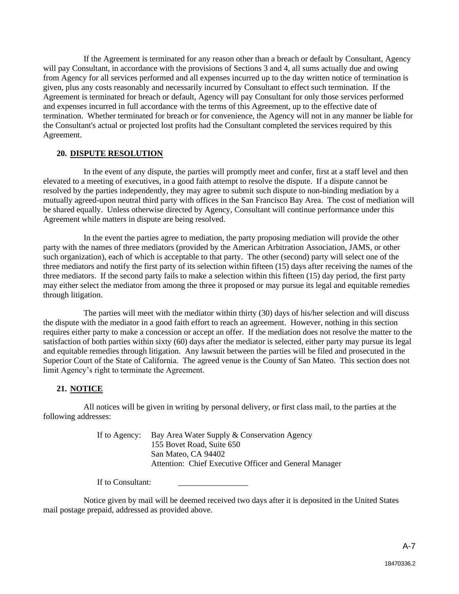If the Agreement is terminated for any reason other than a breach or default by Consultant, Agency will pay Consultant, in accordance with the provisions of Sections 3 and 4, all sums actually due and owing from Agency for all services performed and all expenses incurred up to the day written notice of termination is given, plus any costs reasonably and necessarily incurred by Consultant to effect such termination. If the Agreement is terminated for breach or default, Agency will pay Consultant for only those services performed and expenses incurred in full accordance with the terms of this Agreement, up to the effective date of termination. Whether terminated for breach or for convenience, the Agency will not in any manner be liable for the Consultant's actual or projected lost profits had the Consultant completed the services required by this Agreement.

#### **20. DISPUTE RESOLUTION**

In the event of any dispute, the parties will promptly meet and confer, first at a staff level and then elevated to a meeting of executives, in a good faith attempt to resolve the dispute. If a dispute cannot be resolved by the parties independently, they may agree to submit such dispute to non-binding mediation by a mutually agreed-upon neutral third party with offices in the San Francisco Bay Area. The cost of mediation will be shared equally. Unless otherwise directed by Agency, Consultant will continue performance under this Agreement while matters in dispute are being resolved.

In the event the parties agree to mediation, the party proposing mediation will provide the other party with the names of three mediators (provided by the American Arbitration Association, JAMS, or other such organization), each of which is acceptable to that party. The other (second) party will select one of the three mediators and notify the first party of its selection within fifteen (15) days after receiving the names of the three mediators. If the second party fails to make a selection within this fifteen (15) day period, the first party may either select the mediator from among the three it proposed or may pursue its legal and equitable remedies through litigation.

The parties will meet with the mediator within thirty (30) days of his/her selection and will discuss the dispute with the mediator in a good faith effort to reach an agreement. However, nothing in this section requires either party to make a concession or accept an offer. If the mediation does not resolve the matter to the satisfaction of both parties within sixty (60) days after the mediator is selected, either party may pursue its legal and equitable remedies through litigation. Any lawsuit between the parties will be filed and prosecuted in the Superior Court of the State of California. The agreed venue is the County of San Mateo. This section does not limit Agency's right to terminate the Agreement.

#### **21. NOTICE**

All notices will be given in writing by personal delivery, or first class mail, to the parties at the following addresses:

> If to Agency: Bay Area Water Supply & Conservation Agency 155 Bovet Road, Suite 650 San Mateo, CA 94402 Attention: Chief Executive Officer and General Manager

If to Consultant:

Notice given by mail will be deemed received two days after it is deposited in the United States mail postage prepaid, addressed as provided above.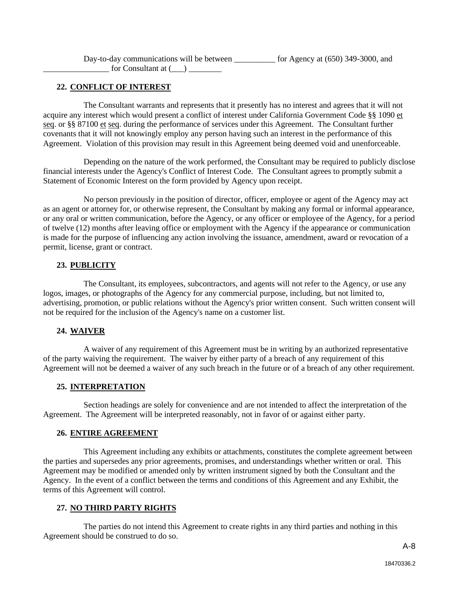### **22. CONFLICT OF INTEREST**

The Consultant warrants and represents that it presently has no interest and agrees that it will not acquire any interest which would present a conflict of interest under California Government Code §§ 1090 et seq. or §§ 87100 et seq. during the performance of services under this Agreement. The Consultant further covenants that it will not knowingly employ any person having such an interest in the performance of this Agreement. Violation of this provision may result in this Agreement being deemed void and unenforceable.

Depending on the nature of the work performed, the Consultant may be required to publicly disclose financial interests under the Agency's Conflict of Interest Code. The Consultant agrees to promptly submit a Statement of Economic Interest on the form provided by Agency upon receipt.

No person previously in the position of director, officer, employee or agent of the Agency may act as an agent or attorney for, or otherwise represent, the Consultant by making any formal or informal appearance, or any oral or written communication, before the Agency, or any officer or employee of the Agency, for a period of twelve (12) months after leaving office or employment with the Agency if the appearance or communication is made for the purpose of influencing any action involving the issuance, amendment, award or revocation of a permit, license, grant or contract.

#### **23. PUBLICITY**

The Consultant, its employees, subcontractors, and agents will not refer to the Agency, or use any logos, images, or photographs of the Agency for any commercial purpose, including, but not limited to, advertising, promotion, or public relations without the Agency's prior written consent. Such written consent will not be required for the inclusion of the Agency's name on a customer list.

#### **24. WAIVER**

A waiver of any requirement of this Agreement must be in writing by an authorized representative of the party waiving the requirement. The waiver by either party of a breach of any requirement of this Agreement will not be deemed a waiver of any such breach in the future or of a breach of any other requirement.

#### **25. INTERPRETATION**

Section headings are solely for convenience and are not intended to affect the interpretation of the Agreement. The Agreement will be interpreted reasonably, not in favor of or against either party.

#### **26. ENTIRE AGREEMENT**

This Agreement including any exhibits or attachments, constitutes the complete agreement between the parties and supersedes any prior agreements, promises, and understandings whether written or oral. This Agreement may be modified or amended only by written instrument signed by both the Consultant and the Agency. In the event of a conflict between the terms and conditions of this Agreement and any Exhibit, the terms of this Agreement will control.

#### **27. NO THIRD PARTY RIGHTS**

The parties do not intend this Agreement to create rights in any third parties and nothing in this Agreement should be construed to do so.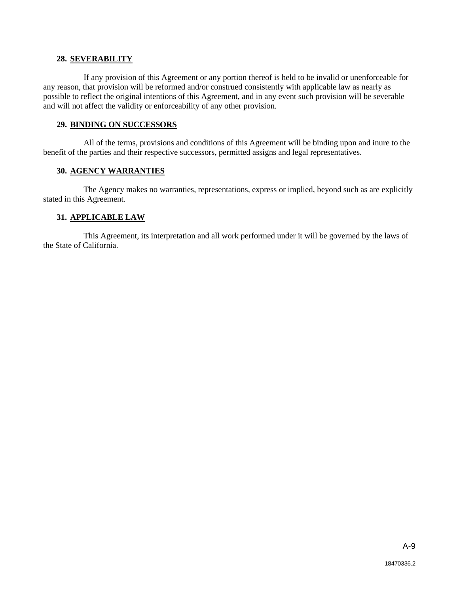#### **28. SEVERABILITY**

If any provision of this Agreement or any portion thereof is held to be invalid or unenforceable for any reason, that provision will be reformed and/or construed consistently with applicable law as nearly as possible to reflect the original intentions of this Agreement, and in any event such provision will be severable and will not affect the validity or enforceability of any other provision.

#### **29. BINDING ON SUCCESSORS**

All of the terms, provisions and conditions of this Agreement will be binding upon and inure to the benefit of the parties and their respective successors, permitted assigns and legal representatives.

#### **30. AGENCY WARRANTIES**

The Agency makes no warranties, representations, express or implied, beyond such as are explicitly stated in this Agreement.

#### **31. APPLICABLE LAW**

This Agreement, its interpretation and all work performed under it will be governed by the laws of the State of California.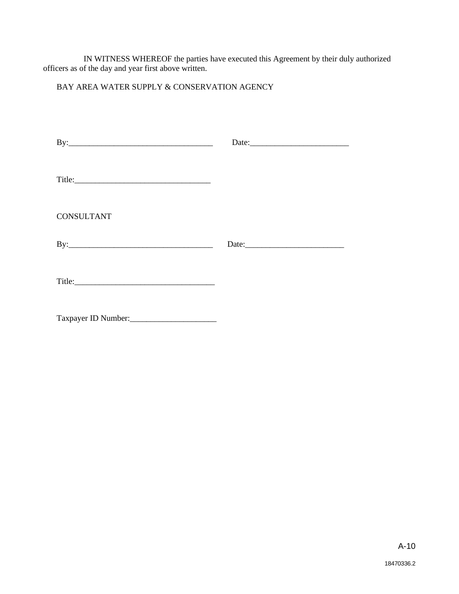IN WITNESS WHEREOF the parties have executed this Agreement by their duly authorized officers as of the day and year first above written.

BAY AREA WATER SUPPLY & CONSERVATION AGENCY

| <b>CONSULTANT</b> |  |
|-------------------|--|
|                   |  |
|                   |  |

Taxpayer ID Number:\_\_\_\_\_\_\_\_\_\_\_\_\_\_\_\_\_\_\_\_\_